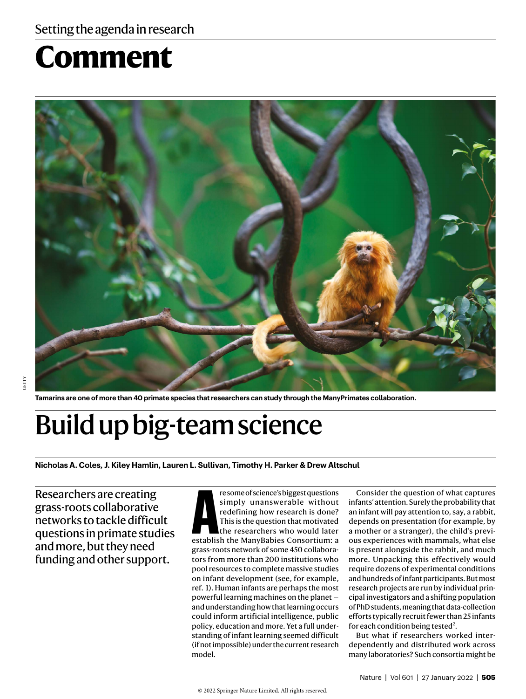# **Comment**



**Tamarins are one of more than 40 primate species that researchers can study through the ManyPrimates collaboration.**

## Build up big-team science

**Nicholas A. Coles, J. Kiley Hamlin, Lauren L. Sullivan, Timothy H. Parker & Drew Altschul**

Researchers are creating grass-roots collaborative networks to tackle difficult questions in primate studies and more, but they need funding and other support.

resome of science's biggest questions<br>
simply unanswerable without<br>
redefining how research is done?<br>
This is the question that motivated<br>
the researchers who would later<br>
establish the ManyBabies Consortium: a re some of science's biggest questions simply unanswerable without redefining how research is done? This is the question that motivated the researchers who would later grass-roots network of some 450 collaborators from more than 200 institutions who pool resources to complete massive studies on infant development (see, for example, ref. 1). Human infants are perhaps the most powerful learning machines on the planet and understanding how that learning occurs could inform artificial intelligence, public policy, education and more. Yet a full understanding of infant learning seemed difficult (if not impossible) under the current research model.

Consider the question of what captures infants' attention. Surely the probability that an infant will pay attention to, say, a rabbit, depends on presentation (for example, by a mother or a stranger), the child's previous experiences with mammals, what else is present alongside the rabbit, and much more. Unpacking this effectively would require dozens of experimental conditions and hundreds of infant participants. But most research projects are run by individual principal investigators and a shifting population of PhD students, meaning that data-collection efforts typically recruit fewer than 25 infants for each condition being tested<sup>2</sup>.

But what if researchers worked interdependently and distributed work across many laboratories? Such consortia might be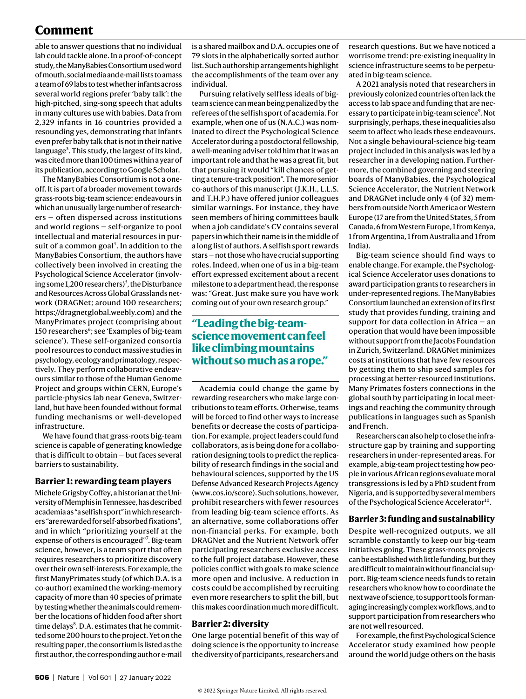## **Comment**

able to answer questions that no individual lab could tackle alone. In a proof-of-concept study, the ManyBabies Consortium used word of mouth, social media and e-mail lists to amass a team of 69 labs to test whether infants across several world regions prefer 'baby talk': the high-pitched, sing-song speech that adults in many cultures use with babies. Data from 2,329 infants in 16 countries provided a resounding yes, demonstrating that infants even prefer baby talk that is not in their native language<sup>3</sup>. This study, the largest of its kind, was cited more than 100 times within a year of its publication, according to Google Scholar.

The ManyBabies Consortium is not a oneoff. It is part of a broader movement towards grass-roots big-team science: endeavours in which an unusually large number of researchers — often dispersed across institutions and world regions — self-organize to pool intellectual and material resources in pursuit of a common goal<sup>4</sup>. In addition to the ManyBabies Consortium, the authors have collectively been involved in creating the Psychological Science Accelerator (involving some 1,200 researchers)<sup>5</sup>, the Disturbance and Resources Across Global Grasslands network (DRAGNet; around 100 researchers; https://dragnetglobal.weebly.com) and the ManyPrimates project (comprising about 150 researchers<sup>6</sup>; see 'Examples of big-team science'). These self-organized consortia pool resources to conduct massive studies in psychology, ecology and primatology, respectively. They perform collaborative endeavours similar to those of the Human Genome Project and groups within CERN, Europe's particle-physics lab near Geneva, Switzerland, but have been founded without formal funding mechanisms or well-developed infrastructure.

We have found that grass-roots big-team science is capable of generating knowledge that is difficult to obtain — but faces several barriers to sustainability.

## **Barrier 1: rewarding team players**

Michele Grigsby Coffey, a historian at the University of Memphis in Tennessee, has described academia as "a selfish sport" in which researchers "are rewarded for self-absorbed fixations", and in which "prioritizing yourself at the expense of others is encouraged"<sup>7</sup>. Big-team science, however, is a team sport that often requires researchers to prioritize discovery over their own self-interests. For example, the first ManyPrimates study (of which D.A. is a co-author) examined the working-memory capacity of more than 40 species of primate by testing whether the animals could remember the locations of hidden food after short time delays<sup>8</sup>. D.A. estimates that he committed some 200 hours to the project. Yet on the resulting paper, the consortium is listed as the first author, the corresponding author e-mail

is a shared mailbox and D.A. occupies one of 79 slots in the alphabetically sorted author list. Such authorship arrangements highlight the accomplishments of the team over any individual.

Pursuing relatively selfless ideals of bigteam science can mean being penalized by the referees of the selfish sport of academia. For example, when one of us (N.A.C.) was nominated to direct the Psychological Science Accelerator during a postdoctoral fellowship, a well-meaning adviser told him that it was an important role and that he was a great fit, but that pursuing it would "kill chances of getting a tenure-track position". The more senior co-authors of this manuscript ( J.K.H., L.L.S. and T.H.P.) have offered junior colleagues similar warnings. For instance, they have seen members of hiring committees baulk when a job candidate's CV contains several papers in which their name is in the middle of a long list of authors. A selfish sport rewards stars — not those who have crucial supporting roles. Indeed, when one of us in a big-team effort expressed excitement about a recent milestone to a department head, the response was: "Great. Just make sure you have work coming out of your own research group."

## **"Leading the big-teamscience movement can feel like climbing mountains without so much as a rope."**

Academia could change the game by rewarding researchers who make large contributions to team efforts. Otherwise, teams will be forced to find other ways to increase benefits or decrease the costs of participation. For example, project leaders could fund collaborators, as is being done for a collaboration designing tools to predict the replicability of research findings in the social and behavioural sciences, supported by the US Defense Advanced Research Projects Agency (www.cos.io/score). Such solutions, however, prohibit researchers with fewer resources from leading big-team science efforts. As an alternative, some collaborations offer non-financial perks. For example, both DRAGNet and the Nutrient Network offer participating researchers exclusive access to the full project database. However, these policies conflict with goals to make science more open and inclusive. A reduction in costs could be accomplished by recruiting even more researchers to split the bill, but this makes coordination much more difficult.

## **Barrier 2: diversity**

One large potential benefit of this way of doing science is the opportunity to increase the diversity of participants, researchers and research questions. But we have noticed a worrisome trend: pre-existing inequality in science infrastructure seems to be perpetuated in big-team science.

A 2021 analysis noted that researchers in previously colonized countries often lack the access to lab space and funding that are necessary to participate in big-team science<sup>9</sup>. Not surprisingly, perhaps, these inequalities also seem to affect who leads these endeavours. Not a single behavioural-science big-team project included in this analysis was led by a researcher in a developing nation. Furthermore, the combined governing and steering boards of ManyBabies, the Psychological Science Accelerator, the Nutrient Network and DRAGNet include only 4 (of 32) members from outside North America or Western Europe (17 are from the United States, 5 from Canada, 6 from Western Europe, 1 from Kenya, 1 from Argentina, 1 from Australia and 1 from India).

Big-team science should find ways to enable change. For example, the Psychological Science Accelerator uses donations to award participation grants to researchers in under-represented regions. The ManyBabies Consortium launched an extension of its first study that provides funding, training and support for data collection in Africa  $-$  an operation that would have been impossible without support from the Jacobs Foundation in Zurich, Switzerland. DRAGNet minimizes costs at institutions that have few resources by getting them to ship seed samples for processing at better-resourced institutions. Many Primates fosters connections in the global south by participating in local meetings and reaching the community through publications in languages such as Spanish and French.

Researchers can also help to close the infrastructure gap by training and supporting researchers in under-represented areas. For example, a big-team project testing how people in various African regions evaluate moral transgressions is led by a PhD student from Nigeria, and is supported by several members of the Psychological Science Accelerator<sup>10</sup>.

## **Barrier 3: funding and sustainability**

Despite well-recognized outputs, we all scramble constantly to keep our big-team initiatives going. These grass-roots projects can be established with little funding, but they are difficult to maintain without financial support. Big-team science needs funds to retain researchers who know how to coordinate the next wave of science, to support tools for managing increasingly complex workflows, and to support participation from researchers who are not well resourced.

For example, the first Psychological Science Accelerator study examined how people around the world judge others on the basis